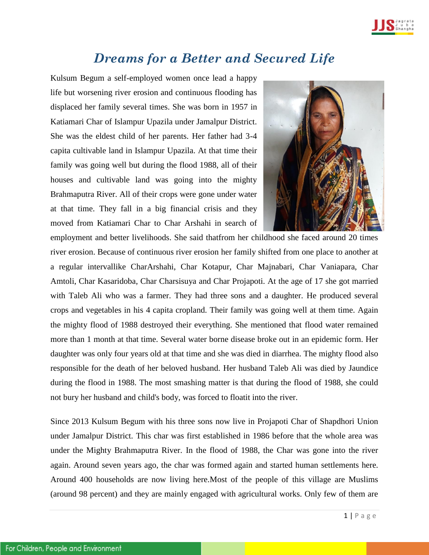

## *Dreams for a Better and Secured Life*

Kulsum Begum a self-employed women once lead a happy life but worsening river erosion and continuous flooding has displaced her family several times. She was born in 1957 in Katiamari Char of Islampur Upazila under Jamalpur District. She was the eldest child of her parents. Her father had 3-4 capita cultivable land in Islampur Upazila. At that time their family was going well but during the flood 1988, all of their houses and cultivable land was going into the mighty Brahmaputra River. All of their crops were gone under water at that time. They fall in a big financial crisis and they moved from Katiamari Char to Char Arshahi in search of



employment and better livelihoods. She said thatfrom her childhood she faced around 20 times river erosion. Because of continuous river erosion her family shifted from one place to another at a regular intervallike CharArshahi, Char Kotapur, Char Majnabari, Char Vaniapara, Char Amtoli, Char Kasaridoba, Char Charsisuya and Char Projapoti. At the age of 17 she got married with Taleb Ali who was a farmer. They had three sons and a daughter. He produced several crops and vegetables in his 4 capita cropland. Their family was going well at them time. Again the mighty flood of 1988 destroyed their everything. She mentioned that flood water remained more than 1 month at that time. Several water borne disease broke out in an epidemic form. Her daughter was only four years old at that time and she was died in diarrhea. The mighty flood also responsible for the death of her beloved husband. Her husband Taleb Ali was died by Jaundice during the flood in 1988. The most smashing matter is that during the flood of 1988, she could not bury her husband and child's body, was forced to floatit into the river.

Since 2013 Kulsum Begum with his three sons now live in Projapoti Char of Shapdhori Union under Jamalpur District. This char was first established in 1986 before that the whole area was under the Mighty Brahmaputra River. In the flood of 1988, the Char was gone into the river again. Around seven years ago, the char was formed again and started human settlements here. Around 400 households are now living here.Most of the people of this village are Muslims (around 98 percent) and they are mainly engaged with agricultural works. Only few of them are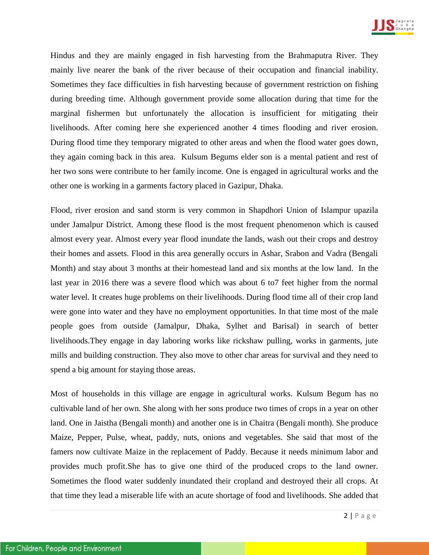

Hindus and they are mainly engaged in fish harvesting from the Brahmaputra River. They mainly live nearer the bank of the river because of their occupation and financial inability. Sometimes they face difficulties in fish harvesting because of government restriction on fishing during breeding time. Although government provide some allocation during that time for the marginal fishermen but unfortunately the allocation is insufficient for mitigating their livelihoods. After coming here she experienced another 4 times flooding and river erosion. During flood time they temporary migrated to other areas and when the flood water goes down, they again coming back in this area. Kulsum Begums elder son is a mental patient and rest of her two sons were contribute to her family income. One is engaged in agricultural works and the other one is working in a garments factory placed in Gazipur, Dhaka.

Flood, river erosion and sand storm is very common in Shapdhori Union of Islampur upazila under Jamalpur District. Among these flood is the most frequent phenomenon which is caused almost every year. Almost every year flood inundate the lands, wash out their crops and destroy their homes and assets. Flood in this area generally occurs in Ashar, Srabon and Vadra (Bengali Month) and stay about 3 months at their homestead land and six months at the low land. In the last year in 2016 there was a severe flood which was about 6 to7 feet higher from the normal water level. It creates huge problems on their livelihoods. During flood time all of their crop land were gone into water and they have no employment opportunities. In that time most of the male people goes from outside (Jamalpur, Dhaka, Sylhet and Barisal) in search of better livelihoods.They engage in day laboring works like rickshaw pulling, works in garments, jute mills and building construction. They also move to other char areas for survival and they need to spend a big amount for staying those areas.

Most of households in this village are engage in agricultural works. Kulsum Begum has no cultivable land of her own. She along with her sons produce two times of crops in a year on other land. One in Jaistha (Bengali month) and another one is in Chaitra (Bengali month). She produce Maize, Pepper, Pulse, wheat, paddy, nuts, onions and vegetables. She said that most of the famers now cultivate Maize in the replacement of Paddy. Because it needs minimum labor and provides much profit.She has to give one third of the produced crops to the land owner. Sometimes the flood water suddenly inundated their cropland and destroyed their all crops. At that time they lead a miserable life with an acute shortage of food and livelihoods. She added that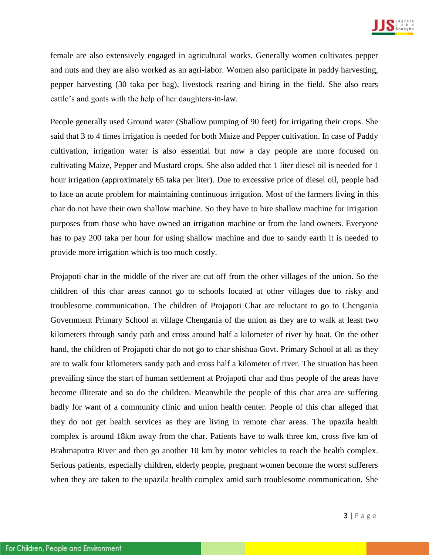

female are also extensively engaged in agricultural works. Generally women cultivates pepper and nuts and they are also worked as an agri-labor. Women also participate in paddy harvesting, pepper harvesting (30 taka per bag), livestock rearing and hiring in the field. She also rears cattle's and goats with the help of her daughters-in-law.

People generally used Ground water (Shallow pumping of 90 feet) for irrigating their crops. She said that 3 to 4 times irrigation is needed for both Maize and Pepper cultivation. In case of Paddy cultivation, irrigation water is also essential but now a day people are more focused on cultivating Maize, Pepper and Mustard crops. She also added that 1 liter diesel oil is needed for 1 hour irrigation (approximately 65 taka per liter). Due to excessive price of diesel oil, people had to face an acute problem for maintaining continuous irrigation. Most of the farmers living in this char do not have their own shallow machine. So they have to hire shallow machine for irrigation purposes from those who have owned an irrigation machine or from the land owners. Everyone has to pay 200 taka per hour for using shallow machine and due to sandy earth it is needed to provide more irrigation which is too much costly.

Projapoti char in the middle of the river are cut off from the other villages of the union. So the children of this char areas cannot go to schools located at other villages due to risky and troublesome communication. The children of Projapoti Char are reluctant to go to Chengania Government Primary School at village Chengania of the union as they are to walk at least two kilometers through sandy path and cross around half a kilometer of river by boat. On the other hand, the children of Projapoti char do not go to char shishua Govt. Primary School at all as they are to walk four kilometers sandy path and cross half a kilometer of river. The situation has been prevailing since the start of human settlement at Projapoti char and thus people of the areas have become illiterate and so do the children. Meanwhile the people of this char area are suffering badly for want of a community clinic and union health center. People of this char alleged that they do not get health services as they are living in remote char areas. The upazila health complex is around 18km away from the char. Patients have to walk three km, cross five km of Brahmaputra River and then go another 10 km by motor vehicles to reach the health complex. Serious patients, especially children, elderly people, pregnant women become the worst sufferers when they are taken to the upazila health complex amid such troublesome communication. She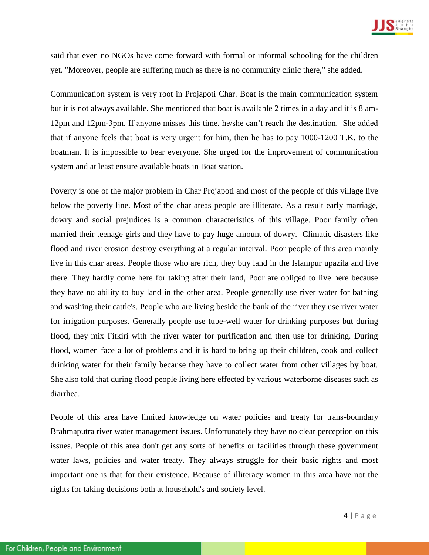

said that even no NGOs have come forward with formal or informal schooling for the children yet. "Moreover, people are suffering much as there is no community clinic there," she added.

Communication system is very root in Projapoti Char. Boat is the main communication system but it is not always available. She mentioned that boat is available 2 times in a day and it is 8 am-12pm and 12pm-3pm. If anyone misses this time, he/she can't reach the destination. She added that if anyone feels that boat is very urgent for him, then he has to pay 1000-1200 T.K. to the boatman. It is impossible to bear everyone. She urged for the improvement of communication system and at least ensure available boats in Boat station.

Poverty is one of the major problem in Char Projapoti and most of the people of this village live below the poverty line. Most of the char areas people are illiterate. As a result early marriage, dowry and social prejudices is a common characteristics of this village. Poor family often married their teenage girls and they have to pay huge amount of dowry. Climatic disasters like flood and river erosion destroy everything at a regular interval. Poor people of this area mainly live in this char areas. People those who are rich, they buy land in the Islampur upazila and live there. They hardly come here for taking after their land, Poor are obliged to live here because they have no ability to buy land in the other area. People generally use river water for bathing and washing their cattle's. People who are living beside the bank of the river they use river water for irrigation purposes. Generally people use tube-well water for drinking purposes but during flood, they mix Fitkiri with the river water for purification and then use for drinking. During flood, women face a lot of problems and it is hard to bring up their children, cook and collect drinking water for their family because they have to collect water from other villages by boat. She also told that during flood people living here effected by various waterborne diseases such as diarrhea.

People of this area have limited knowledge on water policies and treaty for trans-boundary Brahmaputra river water management issues. Unfortunately they have no clear perception on this issues. People of this area don't get any sorts of benefits or facilities through these government water laws, policies and water treaty. They always struggle for their basic rights and most important one is that for their existence. Because of illiteracy women in this area have not the rights for taking decisions both at household's and society level.